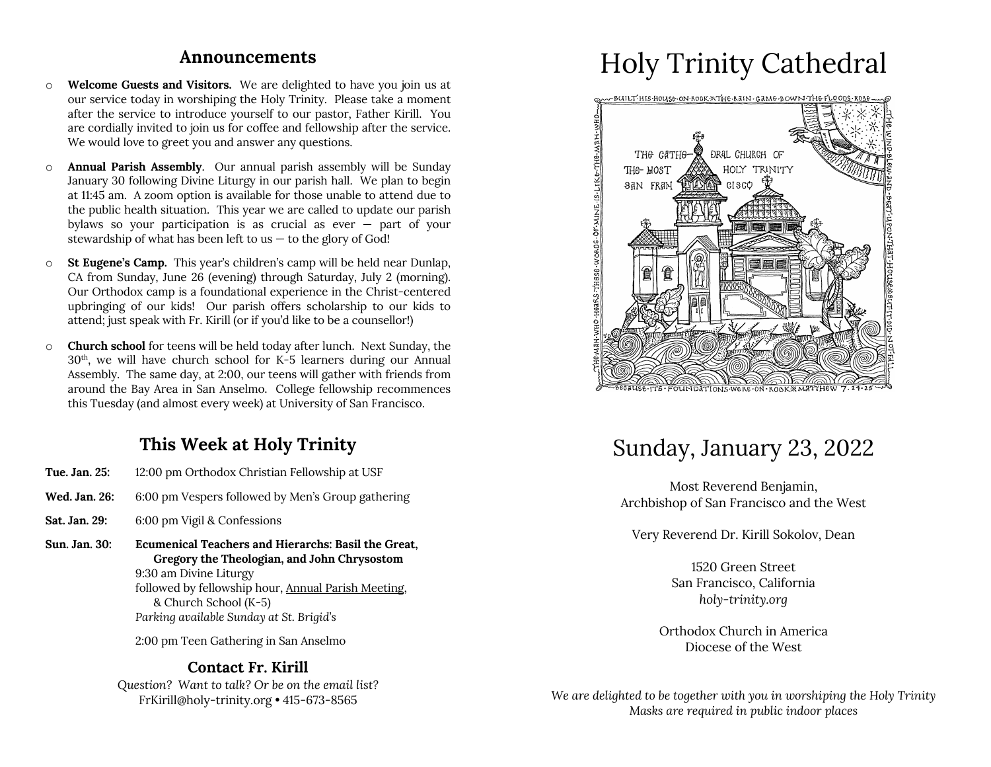#### **Announcements**

- o **Welcome Guests and Visitors.** We are delighted to have you join us at our service today in worshiping the Holy Trinity. Please take a moment after the service to introduce yourself to our pastor, Father Kirill. You are cordially invited to join us for coffee and fellowship after the service. We would love to greet you and answer any questions.
- o **Annual Parish Assembly**. Our annual parish assembly will be Sunday January 30 following Divine Liturgy in our parish hall. We plan to begin at 11:45 am. A zoom option is available for those unable to attend due to the public health situation. This year we are called to update our parish bylaws so your participation is as crucial as ever  $-$  part of your stewardship of what has been left to us  $-$  to the glory of God!
- o **St Eugene's Camp.** This year's children's camp will be held near Dunlap, CA from Sunday, June 26 (evening) through Saturday, July 2 (morning). Our Orthodox camp is a foundational experience in the Christ-centered upbringing of our kids! Our parish offers scholarship to our kids to attend; just speak with Fr. Kirill (or if you'd like to be a counsellor!)
- o **Church school** for teens will be held today after lunch. Next Sunday, the 30th, we will have church school for K-5 learners during our Annual Assembly. The same day, at 2:00, our teens will gather with friends from around the Bay Area in San Anselmo. College fellowship recommences this Tuesday (and almost every week) at University of San Francisco.

### **This Week at Holy Trinity**

- **Tue. Jan. 25:** 12:00 pm Orthodox Christian Fellowship at USF
- **Wed. Jan. 26:** 6:00 pm Vespers followed by Men's Group gathering
- **Sat. Jan. 29:** 6:00 pm Vigil & Confessions
- **Sun. Jan. 30: Ecumenical Teachers and Hierarchs: Basil the Great, Gregory the Theologian, and John Chrysostom** 9:30 am Divine Liturgy followed by fellowship hour, Annual Parish Meeting, & Church School (K-5) *Parking available Sunday at St. Brigid's*

2:00 pm Teen Gathering in San Anselmo

#### **Contact Fr. Kirill**

*Question? Want to talk? Or be on the email list?* FrKirill@holy-trinity.org • 415-673-8565

# Holy Trinity Cathedral



## Sunday, January 23, 2022

Most Reverend Benjamin, Archbishop of San Francisco and the West

Very Reverend Dr. Kirill Sokolov, Dean

1520 Green Street San Francisco, California *holy-trinity.org*

Orthodox Church in America Diocese of the West

*We are delighted to be together with you in worshiping the Holy Trinity Masks are required in public indoor places*